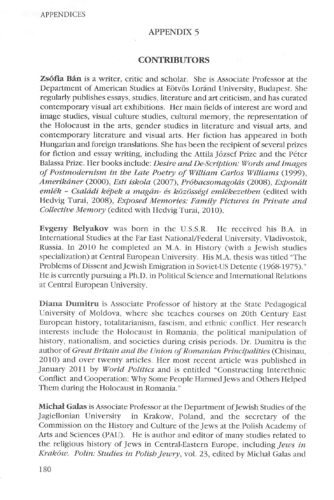## APPENDIX 5

## **CONTRIBUTORS**

**Zsófia Bán** is a writer, critic and scholar. She is Associate Professor at the Department of American Studies at Eötvös Loránd University, Budapest. She regularly publishes essays, studies, literature and art criticism, and has curated contemporary visual art exhibitions. Her main fields of interest are word and image studies, visual culture studies, cultural memory, the representation of the Holocaust in the arts, gender studies in literature and visual arts, and contemporary literature and visual arts. Her fiction has appeared in both Hungarian and foreign translations. She has been the recipient of several prizes for fiction and essay writing, including the Attila József Prize and the Péter Balassa Prize. Her books include: *Desire and De-Scription: Words and Images of Postmodernism in tbe Late Poetry of William Carlos Williams* (1999), *Amerikáner* (2000), *Esti iskola* (2007), *Próbacsomagolás* (2008), *Exponált emlék* - *Családi képek a magán- és közösségi emlékezetben* (edited with Hedvig Turai, 2008), *Exposed Memories: Family Pictures in Private and Collective Memory* (edited with Hedvig Turai, 2010).

**Evgeny Belyakov** was born in the U.S.S.R. He received his B.A. in International Studies at the Far East National/Federal University, Vladivostok, Russia. ln 2010 he completed an M.A. in History (with a Jewish studies specialization) at Central European University. His M.A. thesis was titled "The Problems of Dissent and Jewish Emigration in Soviet-US Detente (1968-1975)." He is currently pursuing a Ph.D. in Political Science and lnternational Relations at Central European University.

Diana Dumitru is Associate Professor of history at the State Pedagogical University of Moldova, where she teaches courses on 20th Century East European history, totalitarianism, fascism, and ethnic conflict. Her research interests include the Holocaust in Romania, the political manipulation of history, nationalism, and societies during crisis periods. Dr. Dumitru is the author of *Great Britain and the Union of Romanian Principalities* (Chisinau, 2010) and over twenty articles. Her most recent article was published in January 2011 by *World Politics* and is entitled "Constructing Interethnic Conflict and Cooperation: Why Some People Harmed Jews and Others Helped Them during the Holocaust in Romania."

**Micha1 Galas** is Associate Professor at the Department of Jewish Studies of the Jagiellonian University in Krakow, Poland, and the secretary of the Commission on the History and Culture of the Jews at the Polish Academy of Arts and Sciences (PAU). He is author and editor of many studies related to the religious history of Jews in Central-Eastern Europe, including *Jews in Kraków. Polin: Studies in Polisb Jewry,* vol. 23, edited by Michal Galas and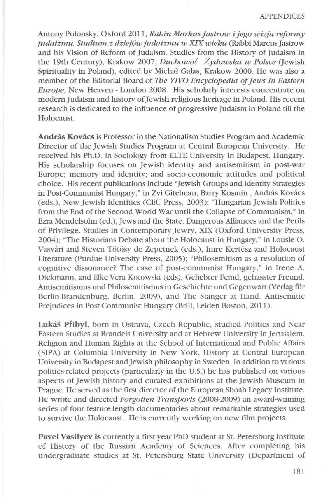Antony Polonsky, Oxford 2011; *Rabin Markus Jastrow i jego wizja reformy judaizmu. Studium z dziejów judaizmu w XIX wieku* (Rabbi Marcus Jastrow and his Vision of Reform of Judaism. Studies from the History of Judaism in the 19th Century), Krakow 2007; *Duchowoś Żydowska w Polsce* (Jewish) Spirituality in Poland), edited by Michal Galas, Krakow 2000. He was also a member of the Editorial Board of *The YTVO Encyclopedia of Jews ín Eastern Europe,* New Heaven - London 2008. His scholarly interests concentrate on modern Judaism and history of Jewish religious heritage in Poland. His recem research is dedicated to the influence of progressive Judaism in Poland till the Holocaust.

**András Kovács** is Professor in the Nationalism Studies Program and Academic Director of the Jewish Studies Program at Central European University. He received his Ph.D. in Sociology from ELTE University in Budapest, Hungary. His scholarship focuses on Jewish identity and antisemitism in post-war Europe; memory and identity; and socio-economic attitudes and political choice. His recent publications include "Jewish Groups and Identity Strategies in Post-Communist Hungary," in Zvi Gitelman, Barry Kosmin, András Kovács (eds.), New Jewish Identities (CEU Press, 2003); "Hungarian Jewish Politics from the End of the Second World War until the Collapse of Communism," in Ezra Mendelsohn (ed.), Jews and the State. Dangerous Alliances and the Perils of Privilege. Studies in Contemporary Jewry, XIX (Oxford University Press, 2004); "The Historians Debate about the Holocaust in Hungary, " in Lousie 0. Vasvári and Steven Tötösy de Zepetnek (eds.), Imre Kertész and Holocaust Literature (Purdue University Press, 2005); "Philosemitism as a resolution of cognitive dissonance? The case of post-communist Hungary," in Irene A. Diekmann, and EJke-Vera Kotowski (eds), Geliebter Feind, gehasster Freund. Antisemitismus und Philosemitismus in Geschichte und Gegenwart (Verlag für Berlin-Brandenburg, Berlin, 2009), and The Stanger at Hand. Antisemitic Prejudices in Post-Communist Hungary (Brill, Leiden-Boston, 2011).

**Lukás Pfibyl,** born in Ostrava, Czech Republic, studied Politics and Near Eastern Studies at Brandeis University and at Hebrew University in Jemsalem, Religion and Human Rights at the School of lnternational and Public Affairs CSIPA) at Columbia University in New York, History at Central European University in Budapest and Jewish philosophy in Sweden. In addition to various politics-related projects (particularly in the U.S.) he has published on various aspects of Jewish history and curated exhibitions at the Jewish Museum in Prague. He served as the first director of the European Shoah Legacy Institute. He wrote and directed *Forgotten Transports* (2008-2009) an award-winning series of four feature-length documentaries about remarkable strategies used to survive the Holocaust. He is currently working on new film projects.

**Pavel Vasilyev** is currently a first-year PhD student at St. Petersburg Institute of History of the Russian Academy of Sciences. After completing his undergraduate studies at St. Petersburg State University (Department of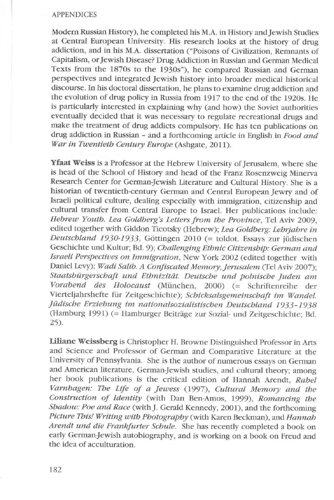#### APPENDICES

Modern Russian History), he completed his **M.A.** in History and Jewish Studies at Central European University. His research Iooks at the history of drug addiction, and in his M.A. dissertation ("Poisons of Civilization, Remnants of Capitalism, or Jewish Disease? Drug Addiction in Russian and German Medical Texts from the 1870s to the 1930s"), he compared Russian and German perspectives and integrated Jewish history into broader medical historical discourse. ln his doctoral dissertation, he plans to examine drug addiction and the evolution of drug policy in Russia from 1917 to the end of the 1920s. He is particularly interested in explaining why (and how) the Soviet authorities eventually decided that it was necessary to regulate recreational drugs and make the treatment of drug addicts compulsory. He has ten publications on drug addiction in Russian - and a forthcoming article in English in *Food and War in Twentieth Century Europe* (Ashgate, 2011).

**Yfaat Weiss** is a Professor at the Hebrew University of Jerusalem, where she is head of the School of History and head of the Franz Rosenzweig Minerva Research Center for German-Jewish Literature and Cultural History. She is a historian of twentieth-century German and Central European Jewry and of Israeli political culture, dealing especially with immigration, citizenship and cultural transfer from Central Europe to Israel. Her publications include: *Hebrew Youth. Lea Goldberg's Letters from the Province. Tel Aviv 2009.* edited together with Giddon Ticotsky (Hebrew); *Lea Goldberg: Lehrjahre in Deutschland 1930-1933,* Göttingen 2010 (= toldot. Essays zur jüdischen Geschichte und Kultur; Bd. 9); *Challenging Ethnic Citizenship: German and Israeli Perspectives on lmmigration,* New York 2002 (edited together with Daniel Levy); *Wadi Salib. A Confiscated Memory, Jerusalem (Tel Aviv 2007)*; *Staatsbürgerschaft und Ethnizitat. Deutsche und polnische Juden am Vorabend des Holocaust* (München, 2000) (= Schriftenreihe der Vierteljahrshefte für Zeitgeschichte); *Schicksalsgemeinschaft ím Wandel. jüdische Erziehung im nationalsozialistischen Deutschland 1933-1938*  (Hamburg 1991) (= Hamburger Beitrage zur Sozial- und Zeitgeschichte; Bd. 25).

**Liliane Weissberg** is Christopher H. Browne Distinguished Professor in Arts and Science and Professor of German and Comparative Literature at the University of Pennsylvania. She is the author of numerous essays on German and American literature, German-Jewish studies, and cultural theory; among her book publications is the critical edition of Hannah Arendt, *Rahel Varnhagen: The Life of a Jewess* (1997), *Cultural Memory and the Construction of ldentity* (with Dan Ben-Amos, 1999), *Romancing the Shadow: Poe and Race* (with]. Gerald Kennedy, 2001), and the forthcoming *Picture This! Writing with Photography* (with Karen Beckman), and *Hannah Arendt und die Frankfurter Schule.* She has recently completed a book 011 early German-Jewish autobiography, and is working on a book on Freud and the idea of acculturation.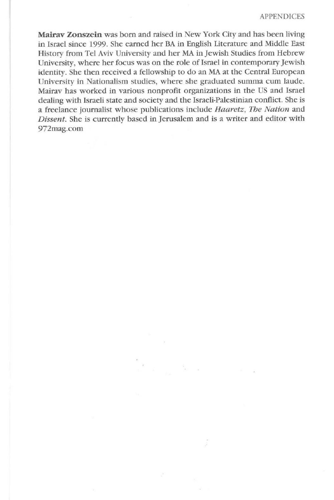**Mairav Zonszein** was born and raised in New York City and has been living in Israel since 1999. She earned her BA in English Literature and Middle East History from Tel Aviv University and her MA in Jewish Studies from Hebrew University, where her focus was on the role of Israel in contemporary Jewish identity. She then received a fellowship to do an MA at the Central European University in Nationalism studies, where she graduated summa cum laude. Mairav has worked in various nonprofit organizations in the US and Israel dealing with Israeli state and society and the Israeli-Palestinian conflict. She is a freelance journalist whose publications include *Haaretz, The Nation* and *Dissent.* She is currently based in Jerusalem and is a writer and editor with 972mag.com